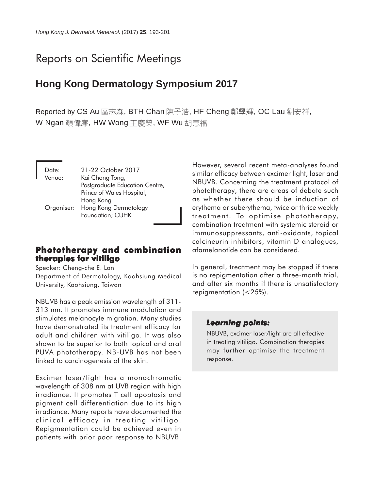# Reports on Scientific Meetings

## **Hong Kong Dermatology Symposium 2017**

Reported by CS Au 區志森, BTH Chan 陳子浩, HF Cheng 鄭學輝, OC Lau 劉安祥, W Ngan 顏偉廉, HW Wong 干慶榮, WF Wu 胡惠福

| Date:  | 21-22 October 2017               |
|--------|----------------------------------|
| Venue: | Kai Chong Tong,                  |
|        | Postgraduate Education Centre,   |
|        | Prince of Wales Hospital,        |
|        | Hong Kong                        |
|        | Organiser: Hong Kong Dermatology |
|        | Foundation; CUHK                 |

## **Phototherapy and combination therapies for vitiligo**

Speaker: Cheng-che E. Lan Department of Dermatology, Kaohsiung Medical University, Kaohsiung, Taiwan

NBUVB has a peak emission wavelength of 311- 313 nm. It promotes immune modulation and stimulates melanocyte migration. Many studies have demonstrated its treatment efficacy for adult and children with vitiligo. It was also shown to be superior to both topical and oral PUVA phototherapy. NB-UVB has not been linked to carcinogenesis of the skin.

Excimer laser/light has a monochromatic wavelength of 308 nm at UVB region with high irradiance. It promotes T cell apoptosis and pigment cell differentiation due to its high irradiance. Many reports have documented the clinical efficacy in treating vitiligo. Repigmentation could be achieved even in patients with prior poor response to NBUVB.

However, several recent meta-analyses found similar efficacy between excimer light, laser and NBUVB. Concerning the treatment protocol of phototherapy, there are areas of debate such as whether there should be induction of erythema or suberythema, twice or thrice weekly treatment. To optimise phototherapy, combination treatment with systemic steroid or immunosuppressants, anti-oxidants, topical calcineurin inhibitors, vitamin D analogues, afamelanotide can be considered.

In general, treatment may be stopped if there is no repigmentation after a three-month trial, and after six months if there is unsatisfactory repigmentation (<25%).

## *Learning points: Learning*

NBUVB, excimer laser/light are all effective in treating vitiligo. Combination therapies may further optimise the treatment response.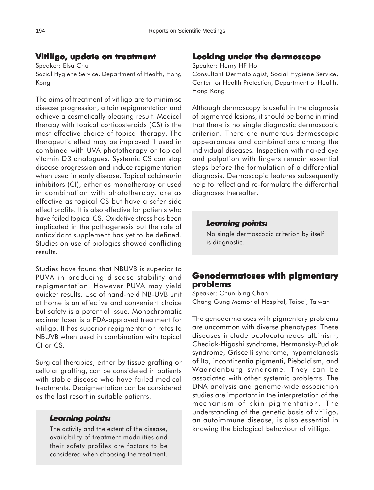## **Vitiligo, update on treatment Vitiligo, on**

Speaker: Elsa Chu Social Hygiene Service, Department of Health, Hong Kong

The aims of treatment of vitiligo are to minimise disease progression, attain repigmentation and achieve a cosmetically pleasing result. Medical therapy with topical corticosteroids (CS) is the most effective choice of topical therapy. The therapeutic effect may be improved if used in combined with UVA phototherapy or topical vitamin D3 analogues. Systemic CS can stop disease progression and induce repigmentation when used in early disease. Topical calcineurin inhibitors (CI), either as monotherapy or used in combination with phototherapy, are as effective as topical CS but have a safer side effect profile. It is also effective for patients who have failed topical CS. Oxidative stress has been implicated in the pathogenesis but the role of antioxidant supplement has yet to be defined. Studies on use of biologics showed conflicting results.

Studies have found that NBUVB is superior to PUVA in producing disease stability and repigmentation. However PUVA may yield quicker results. Use of hand-held NB-UVB unit at home is an effective and convenient choice but safety is a potential issue. Monochromatic excimer laser is a FDA-approved treatment for vitiligo. It has superior repigmentation rates to NBUVB when used in combination with topical CI or CS.

Surgical therapies, either by tissue grafting or cellular grafting, can be considered in patients with stable disease who have failed medical treatments. Depigmentation can be considered as the last resort in suitable patients.

#### *Learning points: Learning*

The activity and the extent of the disease, availability of treatment modalities and their safety profiles are factors to be considered when choosing the treatment.

## **Looking under the dermoscope**

#### Speaker: Henry HF Ho

Consultant Dermatologist, Social Hygiene Service, Center for Health Protection, Department of Health, Hong Kong

Although dermoscopy is useful in the diagnosis of pigmented lesions, it should be borne in mind that there is no single diagnostic dermoscopic criterion. There are numerous dermoscopic appearances and combinations among the individual diseases. Inspection with naked eye and palpation with fingers remain essential steps before the formulation of a differential diagnosis. Dermoscopic features subsequently help to reflect and re-formulate the differential diagnoses thereafter.

#### *Learning points: Learning points:*

No single dermoscopic criterion by itself is diagnostic.

## **Genodermatoses with pigmentary problems**

Speaker: Chun-bing Chan Chang Gung Memorial Hospital, Taipei, Taiwan

The genodermatoses with pigmentary problems are uncommon with diverse phenotypes. These diseases include oculocutaneous albinism, Chediak-Higashi syndrome, Hermansky-Pudlak syndrome, Griscelli syndrome, hypomelanosis of Ito, incontinentia pigmenti, Piebaldism, and Waardenburg syndrome. They can be associated with other systemic problems. The DNA analysis and genome-wide association studies are important in the interpretation of the mechanism of skin pigmentation. The understanding of the genetic basis of vitiligo, an autoimmune disease, is also essential in knowing the biological behaviour of vitiligo.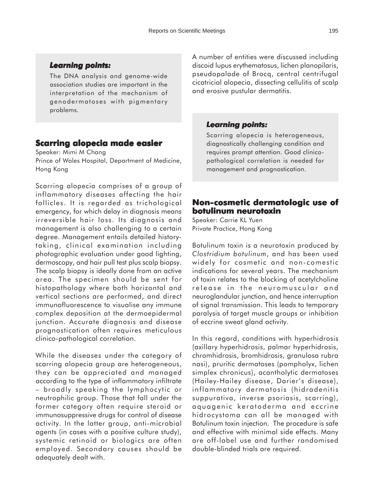The DNA analysis and genome-wide association studies are important in the interpretation of the mechanism of genodermatoses with pigmentary problems.

## **Scarring alopecia made easier**

Speaker: Mimi M Chang

Prince of Wales Hospital, Department of Medicine, Hong Kong

Scarring alopecia comprises of a group of inflammatory diseases affecting the hair follicles. It is regarded as trichological emergency, for which delay in diagnosis means irreversible hair loss. Its diagnosis and management is also challenging to a certain degree. Management entails detailed historytaking, clinical examination including photographic evaluation under good lighting, dermoscopy, and hair pull test plus scalp biopsy. The scalp biopsy is ideally done from an active area. The specimen should be sent for histopathology where both horizontal and vertical sections are performed, and direct immunofluorescence to visualise any immune complex deposition at the dermoepidermal junction. Accurate diagnosis and disease prognostication often requires meticulous clinico-pathological correlation.

While the diseases under the category of scarring alopecia group are heterogeneous, they can be appreciated and managed according to the type of inflammatory infiltrate – broadly speaking the lymphocytic or neutrophilic group. Those that fall under the former category often require steroid or immunosuppressive drugs for control of disease activity. In the latter group, anti-microbial agents (in cases with a positive culture study), systemic retinoid or biologics are often employed. Secondary causes should be adequately dealt with.

A number of entities were discussed including discoid lupus erythematosus, lichen planopilaris, pseudopalade of Brocq, central centrifugal cicatricial alopecia, dissecting cellulitis of scalp and erosive pustular dermatitis.

## *Learning points: Learning points:*

Scarring alopecia is heterogeneous, diagnostically challenging condition and requires prompt attention. Good clinicopathological correlation is needed for management and prognostication.

## **Non-cosmetic dermatologic use of cosmetic use of botulinum neurotoxin**

Speaker: Carrie KL Yuen Private Practice, Hong Kong

Botulinum toxin is a neurotoxin produced by *Clostridium botulinum*, and has been used widely for cosmetic and non-comestic indications for several years. The mechanism of toxin relates to the blocking of acetylcholine release in the neuromuscular and neuroglandular junction, and hence interruption of signal transmission. This leads to temporary paralysis of target muscle groups or inhibition of eccrine sweat gland activity.

In this regard, conditions with hyperhidrosis (axillary hyperhidrosis, palmar hyperhidrosis, chromhidrosis, bromhidrosis, granulosa rubra nasi), pruritic dermatoses (pompholyx, lichen simplex chronicus), acantholytic dermatoses (Hailey-Hailey disease, Darier's disease), inflammatory dermatosis (hidradenitis suppurativa, inverse psoriasis, scarring), aquagenic keratoderma and eccrine hidrocystoma can all be managed with Botulinum toxin injection. The procedure is safe and effective with minimal side effects. Many are off-label use and further randomised double-blinded trials are required.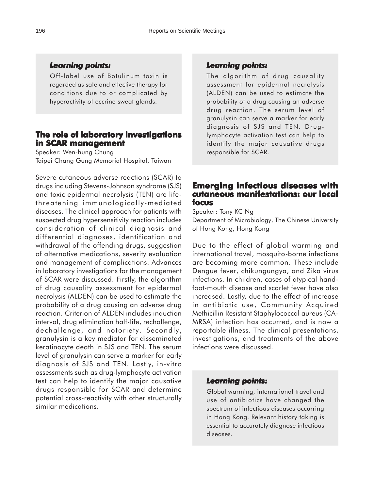#### *Learning points: Learning*

Off-label use of Botulinum toxin is regarded as safe and effective therapy for conditions due to or complicated by hyperactivity of eccrine sweat glands.

## **The role of laboratory investigations in SCAR management in SCAR**

Speaker: Wen-hung Chung Taipei Chang Gung Memorial Hospital, Taiwan

Severe cutaneous adverse reactions (SCAR) to drugs including Stevens-Johnson syndrome (SJS) and toxic epidermal necrolysis (TEN) are lifethreatening immunologically-mediated diseases. The clinical approach for patients with suspected drug hypersensitivity reaction includes consideration of clinical diagnosis and differential diagnoses, identification and withdrawal of the offending drugs, suggestion of alternative medications, severity evaluation and management of complications. Advances in laboratory investigations for the management of SCAR were discussed. Firstly, the algorithm of drug causality assessment for epidermal necrolysis (ALDEN) can be used to estimate the probability of a drug causing an adverse drug reaction. Criterion of ALDEN includes induction interval, drug elimination half-life, rechallenge, dechallenge, and notoriety. Secondly, granulysin is a key mediator for disseminated keratinocyte death in SJS and TEN. The serum level of granulysin can serve a marker for early diagnosis of SJS and TEN. Lastly, in-vitro assessments such as drug-lymphocyte activation test can help to identify the major causative drugs responsible for SCAR and determine potential cross-reactivity with other structurally similar medications.

#### *Learning points: Learning points:*

The algorithm of drug causality assessment for epidermal necrolysis (ALDEN) can be used to estimate the probability of a drug causing an adverse drug reaction. The serum level of granulysin can serve a marker for early diagnosis of SJS and TEN. Druglymphocyte activation test can help to identify the major causative drugs responsible for SCAR.

## **Emerging infectious diseases with cutaneous manifestations: our local cutaneous manifestations: local focus**

Speaker: Tony KC Ng Department of Microbiology, The Chinese University of Hong Kong, Hong Kong

Due to the effect of global warming and international travel, mosquito-borne infections are becoming more common. These include Dengue fever, chikungungya, and Zika virus infections. In children, cases of atypical handfoot-mouth disease and scarlet fever have also increased. Lastly, due to the effect of increase in antibiotic use, Community Acquired Methicillin Resistant Staphylococcal aureus (CA-MRSA) infection has occurred, and is now a reportable illness. The clinical presentations, investigations, and treatments of the above infections were discussed.

#### *Learning points: Learning points:*

Global warming, international travel and use of antibiotics have changed the spectrum of infectious diseases occurring in Hong Kong. Relevant history taking is essential to accurately diagnose infectious diseases.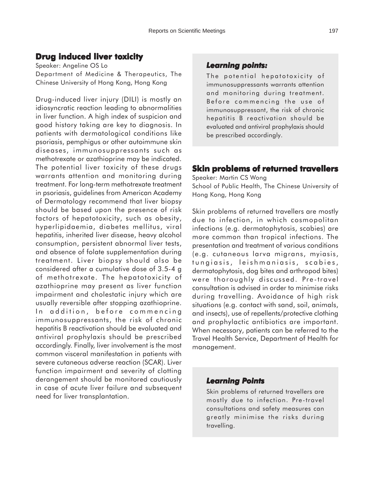## **Drug induced liver toxicity**

Speaker: Angeline OS Lo Department of Medicine & Therapeutics, The Chinese University of Hong Kong, Hong Kong

Drug-induced liver injury (DILI) is mostly an idiosyncratic reaction leading to abnormalities in liver function. A high index of suspicion and good history taking are key to diagnosis. In patients with dermatological conditions like psoriasis, pemphigus or other autoimmune skin diseases, immunosuppressants such as methotrexate or azathioprine may be indicated. The potential liver toxicity of these drugs warrants attention and monitoring during treatment. For long-term methotrexate treatment in psoriasis, guidelines from American Academy of Dermatology recommend that liver biopsy should be based upon the presence of risk factors of hepatotoxicity, such as obesity, hyperlipidaemia, diabetes mellitus, viral hepatitis, inherited liver disease, heavy alcohol consumption, persistent abnormal liver tests, and absence of folate supplementation during treatment. Liver biopsy should also be considered after a cumulative dose of 3.5-4 g of methotrexate. The hepatotoxicity of azathioprine may present as liver function impairment and cholestatic injury which are usually reversible after stopping azathioprine. In addition, before commencing immunosuppressants, the risk of chronic hepatitis B reactivation should be evaluated and antiviral prophylaxis should be prescribed accordingly. Finally, liver involvement is the most common visceral manifestation in patients with severe cutaneous adverse reaction (SCAR). Liver function impairment and severity of clotting derangement should be monitored cautiously in case of acute liver failure and subsequent need for liver transplantation.

#### *Learning points: Learning points:*

The potential hepatotoxicity of immunosuppressants warrants attention and monitoring during treatment. Before commencing the use of immunosuppressant, the risk of chronic hepatitis B reactivation should be evaluated and antiviral prophylaxis should be prescribed accordingly.

## **Skin problems of returned travellers**

Speaker: Martin CS Wong School of Public Health, The Chinese University of Hong Kong, Hong Kong

Skin problems of returned travellers are mostly due to infection, in which cosmopolitan infections (e.g. dermatophytosis, scabies) are more common than tropical infections. The presentation and treatment of various conditions (e.g. cutaneous larva migrans, myiasis, tungiasis, leishmaniasis, scabies, dermatophytosis, dog bites and arthropod bites) were thoroughly discussed. Pre-travel consultation is advised in order to minimise risks during travelling. Avoidance of high risk situations (e.g. contact with sand, soil, animals, and insects), use of repellents/protective clothing and prophylactic antibiotics are important. When necessary, patients can be referred to the Travel Health Service, Department of Health for management.

#### *Learning Points*

Skin problems of returned travellers are mostly due to infection. Pre-travel consultations and safety measures can greatly minimise the risks during travelling.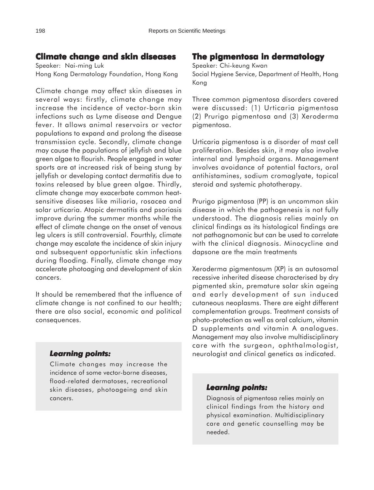## **Climate change and skin diseases**

Speaker: Nai-ming Luk Hong Kong Dermatology Foundation, Hong Kong

Climate change may affect skin diseases in several ways: firstly, climate change may increase the incidence of vector-born skin infections such as Lyme disease and Dengue fever. It allows animal reservoirs or vector populations to expand and prolong the disease transmission cycle. Secondly, climate change may cause the populations of jellyfish and blue green algae to flourish. People engaged in water sports are at increased risk of being stung by jellyfish or developing contact dermatitis due to toxins released by blue green algae. Thirdly, climate change may exacerbate common heatsensitive diseases like miliaria, rosacea and solar urticaria. Atopic dermatitis and psoriasis improve during the summer months while the effect of climate change on the onset of venous leg ulcers is still controversial. Fourthly, climate change may escalate the incidence of skin injury and subsequent opportunistic skin infections during flooding. Finally, climate change may accelerate photoaging and development of skin cancers.

It should be remembered that the influence of climate change is not confined to our health; there are also social, economic and political consequences.

#### *Learning points: Learning*

Climate changes may increase the incidence of some vector-borne diseases, flood-related dermatoses, recreational skin diseases, photoageing and skin cancers.

## **The pigmentosa in dermatology**

Speaker: Chi-keung Kwan

Social Hygiene Service, Department of Health, Hong Kong

Three common pigmentosa disorders covered were discussed: (1) Urticaria pigmentosa (2) Prurigo pigmentosa and (3) Xeroderma pigmentosa.

Urticaria pigmentosa is a disorder of mast cell proliferation. Besides skin, it may also involve internal and lymphoid organs. Management involves avoidance of potential factors, oral antihistamines, sodium cromoglyate, topical steroid and systemic phototherapy.

Prurigo pigmentosa (PP) is an uncommon skin disease in which the pathogenesis is not fully understood. The diagnosis relies mainly on clinical findings as its histological findings are not pathognomonic but can be used to correlate with the clinical diagnosis. Minocycline and dapsone are the main treatments

Xeroderma pigmentosum (XP) is an autosomal recessive inherited disease characterised by dry pigmented skin, premature solar skin ageing and early development of sun induced cutaneous neoplasms. There are eight different complementation groups. Treatment consists of photo-protection as well as oral calcium, vitamin D supplements and vitamin A analogues. Management may also involve multidisciplinary care with the surgeon, ophthalmologist, neurologist and clinical genetics as indicated.

## *Learning points: Learning points:*

Diagnosis of pigmentosa relies mainly on clinical findings from the history and physical examination. Multidisciplinary care and genetic counselling may be needed.